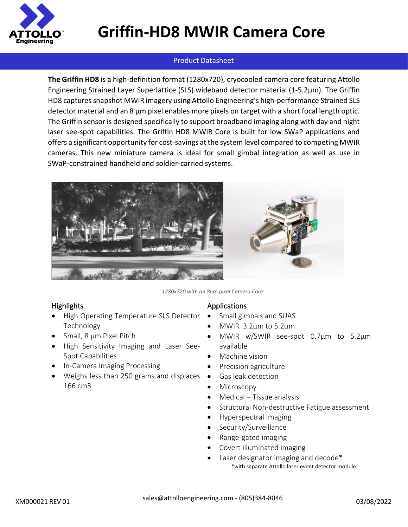

## **Griffin-HD8 MWIR Camera Core**

### Product Datasheet

**The Griffin HD8** is a high-definition format (1280x720), cryocooled camera core featuring Attollo Engineering Strained Layer Superlattice (SLS) wideband detector material (1-5.2µm). The Griffin HD8 captures snapshot MWIR imagery using Attollo Engineering's high-performance Strained SLS detector material and an 8 µm pixel enables more pixels on target with a short focal length optic. The Griffin sensor is designed specifically to support broadband imaging along with day and night laser see-spot capabilities. The Griffin HD8 MWIR Core is built for low SWaP applications and offers a significant opportunity for cost-savings at the system level compared to competing MWIR cameras. This new miniature camera is ideal for small gimbal integration as well as use in SWaP-constrained handheld and soldier-carried systems.



#### *1280x720 with an 8um pixel Camera Core*

#### **Highlights**

- High Operating Temperature SLS Detector Technology
- Small, 8 µm Pixel Pitch
- High Sensitivity Imaging and Laser See-Spot Capabilities
- In-Camera Imaging Processing
- Weighs less than 250 grams and displaces 166 cm3

#### Applications

- Small gimbals and SUAS
- MWIR  $3.2\mu$ m to 5.2 $\mu$ m
- MWIR w/SWIR see-spot 0.7µm to 5.2µm available
- Machine vision
- Precision agriculture
- Gas leak detection
- **Microscopy**
- Medical Tissue analysis
- Structural Non-destructive Fatigue assessment
- Hyperspectral Imaging
- Security/Surveillance
- Range-gated imaging
- Covert illuminated imaging
	- Laser designator imaging and decode<sup>\*</sup> \*with separate Attollo laser event detector module